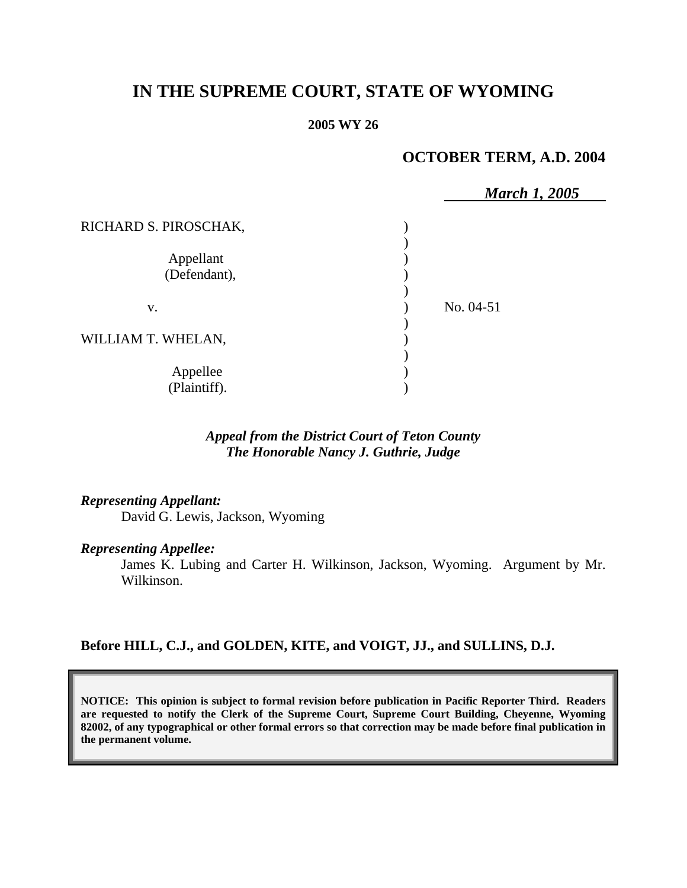# **IN THE SUPREME COURT, STATE OF WYOMING**

#### **2005 WY 26**

## **OCTOBER TERM, A.D. 2004**

|                       | <b>March 1, 2005</b> |  |
|-----------------------|----------------------|--|
| RICHARD S. PIROSCHAK, |                      |  |
|                       |                      |  |
| Appellant             |                      |  |
| (Defendant),          |                      |  |
|                       |                      |  |
| V.                    | No. 04-51            |  |
|                       |                      |  |
| WILLIAM T. WHELAN,    |                      |  |
|                       |                      |  |
| Appellee              |                      |  |
| (Plaintiff).          |                      |  |

### *Appeal from the District Court of Teton County The Honorable Nancy J. Guthrie, Judge*

#### *Representing Appellant:*

David G. Lewis, Jackson, Wyoming

#### *Representing Appellee:*

James K. Lubing and Carter H. Wilkinson, Jackson, Wyoming. Argument by Mr. Wilkinson.

### **Before HILL, C.J., and GOLDEN, KITE, and VOIGT, JJ., and SULLINS, D.J.**

**NOTICE: This opinion is subject to formal revision before publication in Pacific Reporter Third. Readers are requested to notify the Clerk of the Supreme Court, Supreme Court Building, Cheyenne, Wyoming 82002, of any typographical or other formal errors so that correction may be made before final publication in the permanent volume.**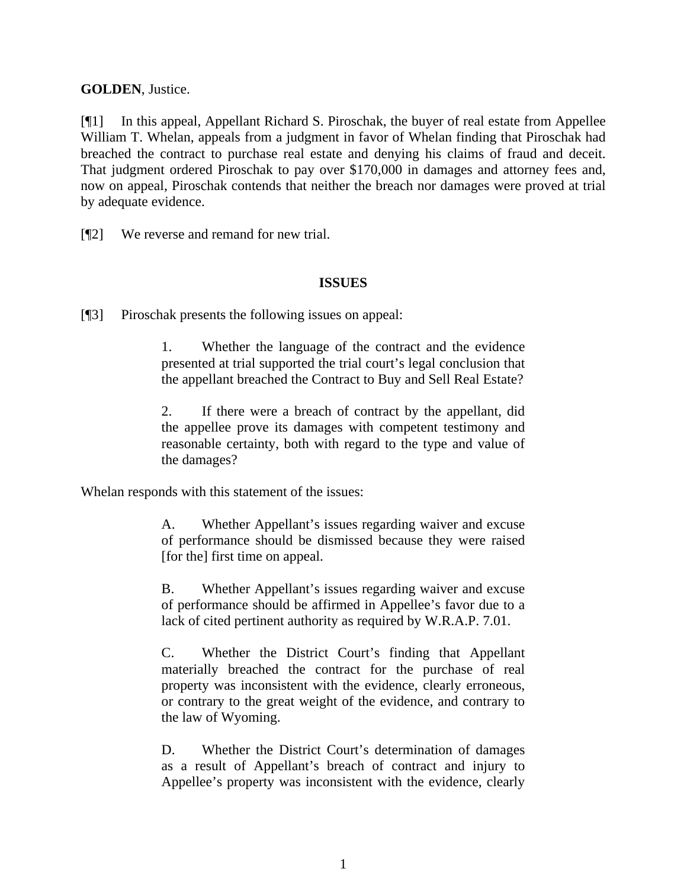### **GOLDEN**, Justice.

[¶1] In this appeal, Appellant Richard S. Piroschak, the buyer of real estate from Appellee William T. Whelan, appeals from a judgment in favor of Whelan finding that Piroschak had breached the contract to purchase real estate and denying his claims of fraud and deceit. That judgment ordered Piroschak to pay over \$170,000 in damages and attorney fees and, now on appeal, Piroschak contends that neither the breach nor damages were proved at trial by adequate evidence.

[¶2] We reverse and remand for new trial.

### **ISSUES**

[¶3] Piroschak presents the following issues on appeal:

1. Whether the language of the contract and the evidence presented at trial supported the trial court's legal conclusion that the appellant breached the Contract to Buy and Sell Real Estate?

2. If there were a breach of contract by the appellant, did the appellee prove its damages with competent testimony and reasonable certainty, both with regard to the type and value of the damages?

Whelan responds with this statement of the issues:

A. Whether Appellant's issues regarding waiver and excuse of performance should be dismissed because they were raised [for the] first time on appeal.

B. Whether Appellant's issues regarding waiver and excuse of performance should be affirmed in Appellee's favor due to a lack of cited pertinent authority as required by W.R.A.P. 7.01.

C. Whether the District Court's finding that Appellant materially breached the contract for the purchase of real property was inconsistent with the evidence, clearly erroneous, or contrary to the great weight of the evidence, and contrary to the law of Wyoming.

D. Whether the District Court's determination of damages as a result of Appellant's breach of contract and injury to Appellee's property was inconsistent with the evidence, clearly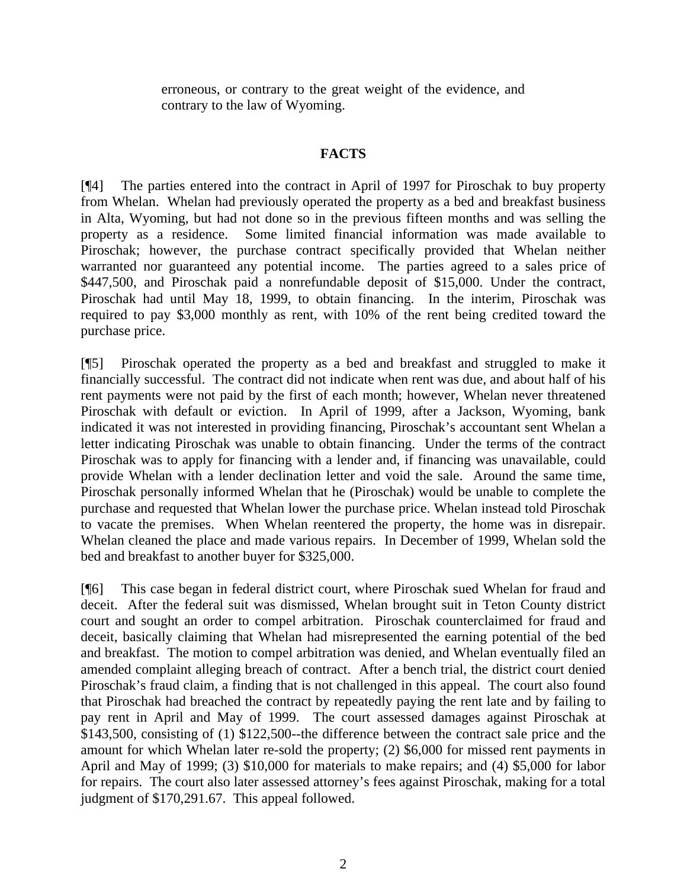erroneous, or contrary to the great weight of the evidence, and contrary to the law of Wyoming.

### **FACTS**

[¶4] The parties entered into the contract in April of 1997 for Piroschak to buy property from Whelan. Whelan had previously operated the property as a bed and breakfast business in Alta, Wyoming, but had not done so in the previous fifteen months and was selling the property as a residence. Some limited financial information was made available to Piroschak; however, the purchase contract specifically provided that Whelan neither warranted nor guaranteed any potential income. The parties agreed to a sales price of \$447,500, and Piroschak paid a nonrefundable deposit of \$15,000. Under the contract, Piroschak had until May 18, 1999, to obtain financing. In the interim, Piroschak was required to pay \$3,000 monthly as rent, with 10% of the rent being credited toward the purchase price.

[¶5] Piroschak operated the property as a bed and breakfast and struggled to make it financially successful. The contract did not indicate when rent was due, and about half of his rent payments were not paid by the first of each month; however, Whelan never threatened Piroschak with default or eviction. In April of 1999, after a Jackson, Wyoming, bank indicated it was not interested in providing financing, Piroschak's accountant sent Whelan a letter indicating Piroschak was unable to obtain financing. Under the terms of the contract Piroschak was to apply for financing with a lender and, if financing was unavailable, could provide Whelan with a lender declination letter and void the sale. Around the same time, Piroschak personally informed Whelan that he (Piroschak) would be unable to complete the purchase and requested that Whelan lower the purchase price. Whelan instead told Piroschak to vacate the premises. When Whelan reentered the property, the home was in disrepair. Whelan cleaned the place and made various repairs. In December of 1999, Whelan sold the bed and breakfast to another buyer for \$325,000.

[¶6] This case began in federal district court, where Piroschak sued Whelan for fraud and deceit. After the federal suit was dismissed, Whelan brought suit in Teton County district court and sought an order to compel arbitration. Piroschak counterclaimed for fraud and deceit, basically claiming that Whelan had misrepresented the earning potential of the bed and breakfast. The motion to compel arbitration was denied, and Whelan eventually filed an amended complaint alleging breach of contract. After a bench trial, the district court denied Piroschak's fraud claim, a finding that is not challenged in this appeal. The court also found that Piroschak had breached the contract by repeatedly paying the rent late and by failing to pay rent in April and May of 1999. The court assessed damages against Piroschak at \$143,500, consisting of (1) \$122,500--the difference between the contract sale price and the amount for which Whelan later re-sold the property; (2) \$6,000 for missed rent payments in April and May of 1999; (3) \$10,000 for materials to make repairs; and (4) \$5,000 for labor for repairs. The court also later assessed attorney's fees against Piroschak, making for a total judgment of \$170,291.67. This appeal followed.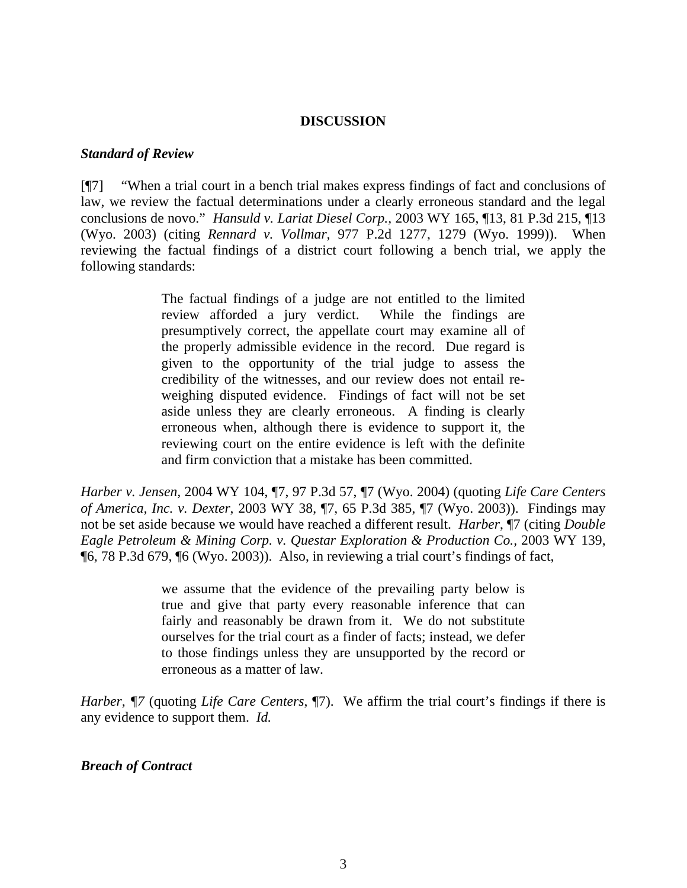#### **DISCUSSION**

### *Standard of Review*

[¶7] "When a trial court in a bench trial makes express findings of fact and conclusions of law, we review the factual determinations under a clearly erroneous standard and the legal conclusions de novo." *Hansuld v. Lariat Diesel Corp.,* 2003 WY 165, ¶13, 81 P.3d 215, ¶13 (Wyo. 2003) (citing *Rennard v. Vollmar,* 977 P.2d 1277, 1279 (Wyo. 1999)). When reviewing the factual findings of a district court following a bench trial, we apply the following standards:

> The factual findings of a judge are not entitled to the limited review afforded a jury verdict. While the findings are presumptively correct, the appellate court may examine all of the properly admissible evidence in the record. Due regard is given to the opportunity of the trial judge to assess the credibility of the witnesses, and our review does not entail reweighing disputed evidence. Findings of fact will not be set aside unless they are clearly erroneous. A finding is clearly erroneous when, although there is evidence to support it, the reviewing court on the entire evidence is left with the definite and firm conviction that a mistake has been committed.

*Harber v. Jensen,* 2004 WY 104, ¶7, 97 P.3d 57, ¶7 (Wyo. 2004) (quoting *Life Care Centers of America, Inc. v. Dexter*, 2003 WY 38, ¶7, 65 P.3d 385, ¶7 (Wyo. 2003)). Findings may not be set aside because we would have reached a different result. *Harber*, ¶7 (citing *Double Eagle Petroleum & Mining Corp. v. Questar Exploration & Production Co.,* 2003 WY 139, ¶6, 78 P.3d 679, ¶6 (Wyo. 2003)). Also, in reviewing a trial court's findings of fact,

> we assume that the evidence of the prevailing party below is true and give that party every reasonable inference that can fairly and reasonably be drawn from it. We do not substitute ourselves for the trial court as a finder of facts; instead, we defer to those findings unless they are unsupported by the record or erroneous as a matter of law.

*Harber, ¶7* (quoting *Life Care Centers*, ¶7). We affirm the trial court's findings if there is any evidence to support them. *Id.*

#### *Breach of Contract*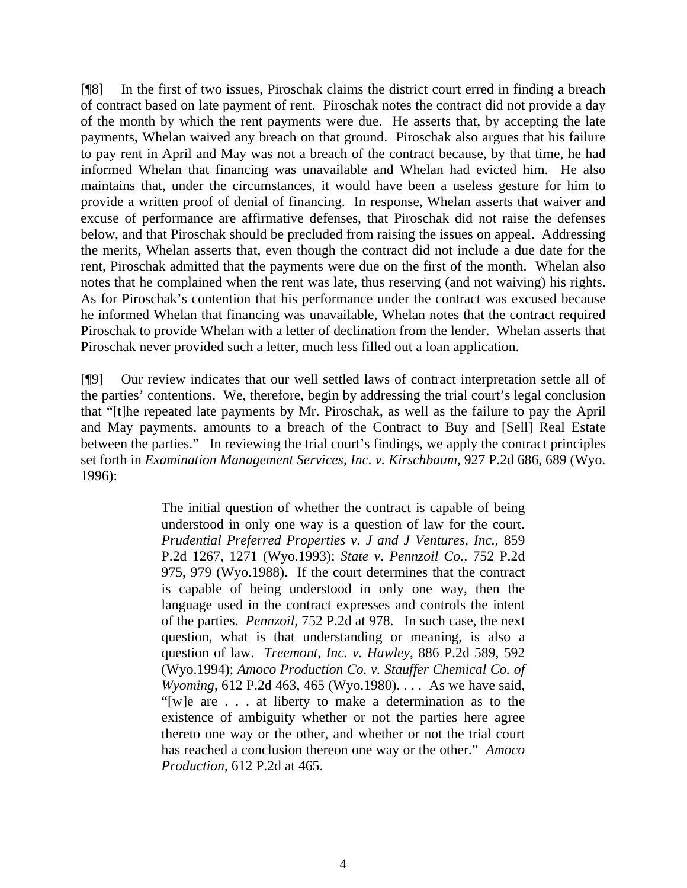[¶8] In the first of two issues, Piroschak claims the district court erred in finding a breach of contract based on late payment of rent. Piroschak notes the contract did not provide a day of the month by which the rent payments were due. He asserts that, by accepting the late payments, Whelan waived any breach on that ground. Piroschak also argues that his failure to pay rent in April and May was not a breach of the contract because, by that time, he had informed Whelan that financing was unavailable and Whelan had evicted him. He also maintains that, under the circumstances, it would have been a useless gesture for him to provide a written proof of denial of financing. In response, Whelan asserts that waiver and excuse of performance are affirmative defenses, that Piroschak did not raise the defenses below, and that Piroschak should be precluded from raising the issues on appeal. Addressing the merits, Whelan asserts that, even though the contract did not include a due date for the rent, Piroschak admitted that the payments were due on the first of the month. Whelan also notes that he complained when the rent was late, thus reserving (and not waiving) his rights. As for Piroschak's contention that his performance under the contract was excused because he informed Whelan that financing was unavailable, Whelan notes that the contract required Piroschak to provide Whelan with a letter of declination from the lender. Whelan asserts that Piroschak never provided such a letter, much less filled out a loan application.

[¶9] Our review indicates that our well settled laws of contract interpretation settle all of the parties' contentions. We, therefore, begin by addressing the trial court's legal conclusion that "[t]he repeated late payments by Mr. Piroschak, as well as the failure to pay the April and May payments, amounts to a breach of the Contract to Buy and [Sell] Real Estate between the parties." In reviewing the trial court's findings, we apply the contract principles set forth in *Examination Management Services, Inc. v. Kirschbaum,* 927 P.2d 686, 689 (Wyo. 1996):

> The initial question of whether the contract is capable of being understood in only one way is a question of law for the court. *Prudential Preferred Properties v. J and J Ventures, Inc.,* 859 P.2d 1267, 1271 (Wyo.1993); *State v. Pennzoil Co.,* 752 P.2d 975, 979 (Wyo.1988). If the court determines that the contract is capable of being understood in only one way, then the language used in the contract expresses and controls the intent of the parties. *Pennzoil,* 752 P.2d at 978. In such case, the next question, what is that understanding or meaning, is also a question of law. *Treemont, Inc. v. Hawley*, 886 P.2d 589, 592 (Wyo.1994); *Amoco Production Co. v. Stauffer Chemical Co. of Wyoming*, 612 P.2d 463, 465 (Wyo.1980). . . . As we have said, "[w]e are . . . at liberty to make a determination as to the existence of ambiguity whether or not the parties here agree thereto one way or the other, and whether or not the trial court has reached a conclusion thereon one way or the other." *Amoco Production*, 612 P.2d at 465.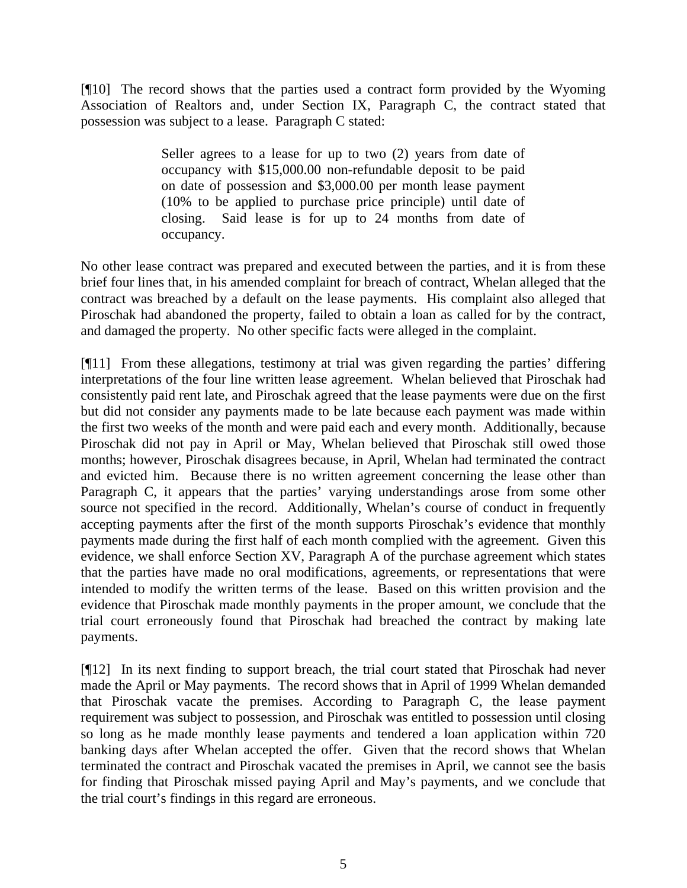[¶10] The record shows that the parties used a contract form provided by the Wyoming Association of Realtors and, under Section IX, Paragraph C, the contract stated that possession was subject to a lease. Paragraph C stated:

> Seller agrees to a lease for up to two  $(2)$  years from date of occupancy with \$15,000.00 non-refundable deposit to be paid on date of possession and \$3,000.00 per month lease payment (10% to be applied to purchase price principle) until date of closing. Said lease is for up to 24 months from date of occupancy.

No other lease contract was prepared and executed between the parties, and it is from these brief four lines that, in his amended complaint for breach of contract, Whelan alleged that the contract was breached by a default on the lease payments. His complaint also alleged that Piroschak had abandoned the property, failed to obtain a loan as called for by the contract, and damaged the property. No other specific facts were alleged in the complaint.

[¶11] From these allegations, testimony at trial was given regarding the parties' differing interpretations of the four line written lease agreement. Whelan believed that Piroschak had consistently paid rent late, and Piroschak agreed that the lease payments were due on the first but did not consider any payments made to be late because each payment was made within the first two weeks of the month and were paid each and every month. Additionally, because Piroschak did not pay in April or May, Whelan believed that Piroschak still owed those months; however, Piroschak disagrees because, in April, Whelan had terminated the contract and evicted him. Because there is no written agreement concerning the lease other than Paragraph C, it appears that the parties' varying understandings arose from some other source not specified in the record. Additionally, Whelan's course of conduct in frequently accepting payments after the first of the month supports Piroschak's evidence that monthly payments made during the first half of each month complied with the agreement. Given this evidence, we shall enforce Section XV, Paragraph A of the purchase agreement which states that the parties have made no oral modifications, agreements, or representations that were intended to modify the written terms of the lease. Based on this written provision and the evidence that Piroschak made monthly payments in the proper amount, we conclude that the trial court erroneously found that Piroschak had breached the contract by making late payments.

[¶12] In its next finding to support breach, the trial court stated that Piroschak had never made the April or May payments. The record shows that in April of 1999 Whelan demanded that Piroschak vacate the premises. According to Paragraph C, the lease payment requirement was subject to possession, and Piroschak was entitled to possession until closing so long as he made monthly lease payments and tendered a loan application within 720 banking days after Whelan accepted the offer. Given that the record shows that Whelan terminated the contract and Piroschak vacated the premises in April, we cannot see the basis for finding that Piroschak missed paying April and May's payments, and we conclude that the trial court's findings in this regard are erroneous.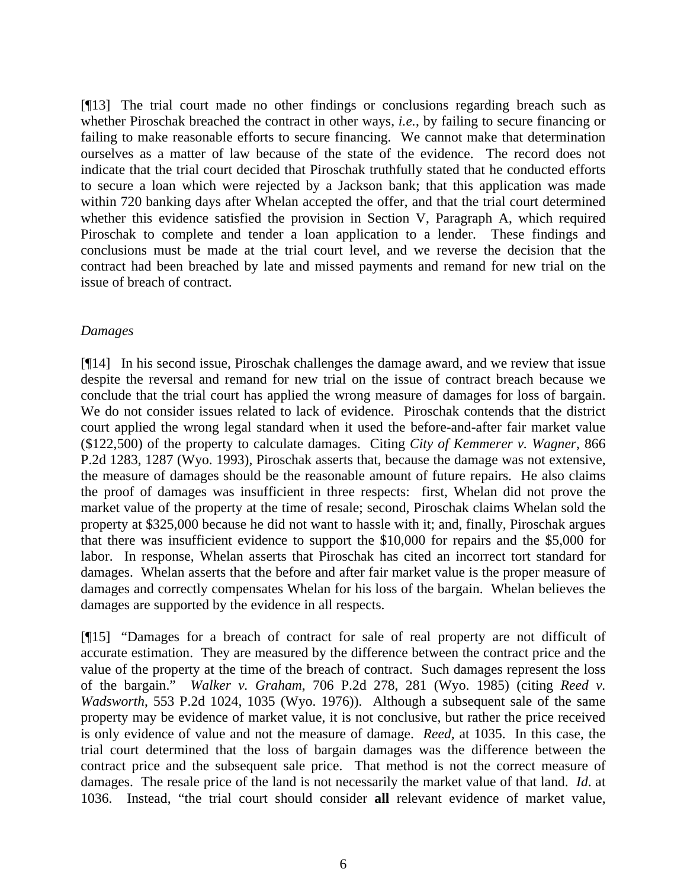[¶13] The trial court made no other findings or conclusions regarding breach such as whether Piroschak breached the contract in other ways, *i.e.*, by failing to secure financing or failing to make reasonable efforts to secure financing. We cannot make that determination ourselves as a matter of law because of the state of the evidence. The record does not indicate that the trial court decided that Piroschak truthfully stated that he conducted efforts to secure a loan which were rejected by a Jackson bank; that this application was made within 720 banking days after Whelan accepted the offer, and that the trial court determined whether this evidence satisfied the provision in Section V, Paragraph A, which required Piroschak to complete and tender a loan application to a lender. These findings and conclusions must be made at the trial court level, and we reverse the decision that the contract had been breached by late and missed payments and remand for new trial on the issue of breach of contract.

### *Damages*

[¶14] In his second issue, Piroschak challenges the damage award, and we review that issue despite the reversal and remand for new trial on the issue of contract breach because we conclude that the trial court has applied the wrong measure of damages for loss of bargain. We do not consider issues related to lack of evidence. Piroschak contends that the district court applied the wrong legal standard when it used the before-and-after fair market value (\$122,500) of the property to calculate damages. Citing *City of Kemmerer v. Wagner*, 866 P.2d 1283, 1287 (Wyo. 1993), Piroschak asserts that, because the damage was not extensive, the measure of damages should be the reasonable amount of future repairs. He also claims the proof of damages was insufficient in three respects: first, Whelan did not prove the market value of the property at the time of resale; second, Piroschak claims Whelan sold the property at \$325,000 because he did not want to hassle with it; and, finally, Piroschak argues that there was insufficient evidence to support the \$10,000 for repairs and the \$5,000 for labor. In response, Whelan asserts that Piroschak has cited an incorrect tort standard for damages. Whelan asserts that the before and after fair market value is the proper measure of damages and correctly compensates Whelan for his loss of the bargain. Whelan believes the damages are supported by the evidence in all respects.

[¶15] "Damages for a breach of contract for sale of real property are not difficult of accurate estimation. They are measured by the difference between the contract price and the value of the property at the time of the breach of contract. Such damages represent the loss of the bargain." *Walker v. Graham*, 706 P.2d 278, 281 (Wyo. 1985) (citing *Reed v. Wadsworth*, 553 P.2d 1024, 1035 (Wyo. 1976)). Although a subsequent sale of the same property may be evidence of market value, it is not conclusive, but rather the price received is only evidence of value and not the measure of damage. *Reed,* at 1035.In this case, the trial court determined that the loss of bargain damages was the difference between the contract price and the subsequent sale price. That method is not the correct measure of damages. The resale price of the land is not necessarily the market value of that land. *Id*. at 1036. Instead, "the trial court should consider **all** relevant evidence of market value,